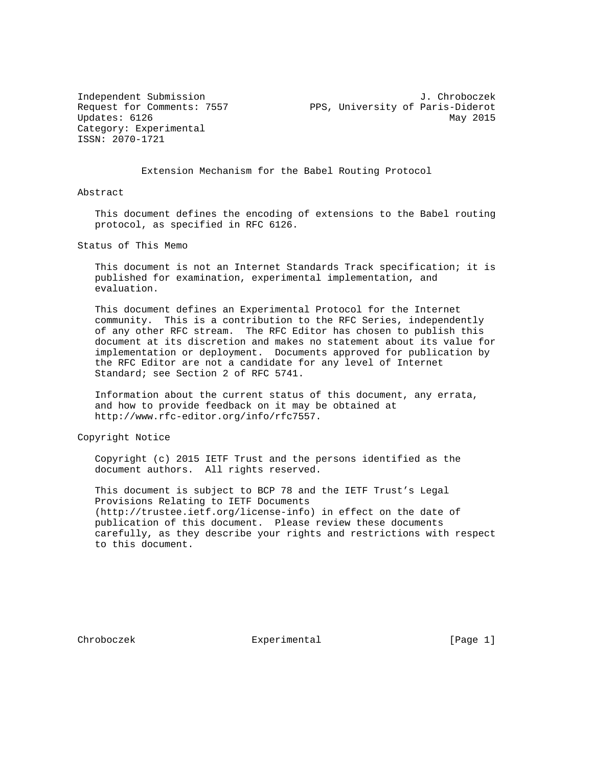Category: Experimental ISSN: 2070-1721

Independent Submission J. Chroboczek Request for Comments: 7557 PPS, University of Paris-Diderot Updates: 6126 May 2015

Extension Mechanism for the Babel Routing Protocol

Abstract

 This document defines the encoding of extensions to the Babel routing protocol, as specified in RFC 6126.

Status of This Memo

 This document is not an Internet Standards Track specification; it is published for examination, experimental implementation, and evaluation.

 This document defines an Experimental Protocol for the Internet community. This is a contribution to the RFC Series, independently of any other RFC stream. The RFC Editor has chosen to publish this document at its discretion and makes no statement about its value for implementation or deployment. Documents approved for publication by the RFC Editor are not a candidate for any level of Internet Standard; see Section 2 of RFC 5741.

 Information about the current status of this document, any errata, and how to provide feedback on it may be obtained at http://www.rfc-editor.org/info/rfc7557.

Copyright Notice

 Copyright (c) 2015 IETF Trust and the persons identified as the document authors. All rights reserved.

 This document is subject to BCP 78 and the IETF Trust's Legal Provisions Relating to IETF Documents (http://trustee.ietf.org/license-info) in effect on the date of publication of this document. Please review these documents carefully, as they describe your rights and restrictions with respect to this document.

Chroboczek **Experimental** [Page 1]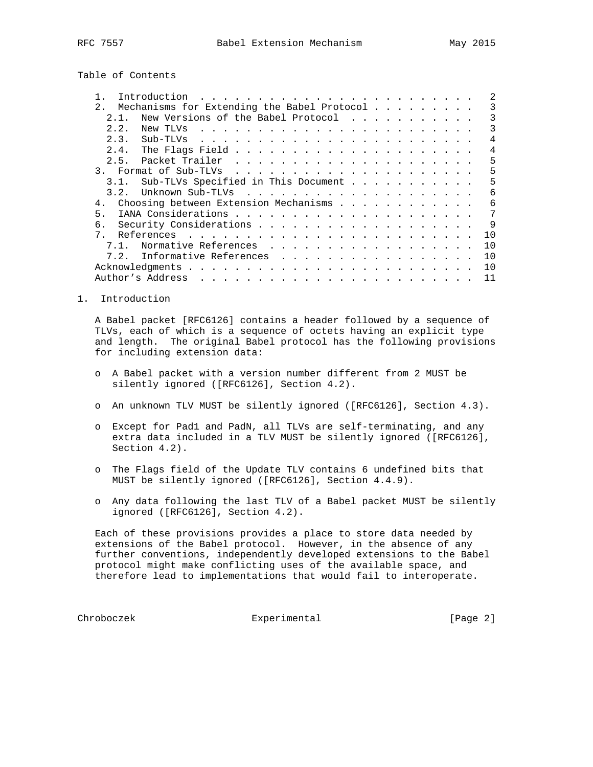Table of Contents

| Introduction<br>. The contract of the contract of the contract of the contract of the contract of the contract of the contract of the contract of the contract of the contract of the contract of the contract of the contract of the contrac     |              |
|---------------------------------------------------------------------------------------------------------------------------------------------------------------------------------------------------------------------------------------------------|--------------|
| 2.<br>Mechanisms for Extending the Babel Protocol                                                                                                                                                                                                 | २            |
| New Versions of the Babel Protocol<br>2 1                                                                                                                                                                                                         | २            |
| 2.2.<br>New TLVs                                                                                                                                                                                                                                  | 3            |
| 2.3.<br>Sub-TLVs<br>and a construction of the construction of the construction of the construction of the construction of the construction of the construction of the construction of the construction of the construction of the construction of | 4            |
| 2.4.                                                                                                                                                                                                                                              | 4            |
| 2.5.                                                                                                                                                                                                                                              | 5            |
| $\mathcal{R}_{\mathcal{A}}$                                                                                                                                                                                                                       | 5            |
| Sub-TLVs Specified in This Document<br>3.1.                                                                                                                                                                                                       | 5            |
| 3.2.                                                                                                                                                                                                                                              | 6            |
| Choosing between Extension Mechanisms<br>4.                                                                                                                                                                                                       | 6            |
| 5.                                                                                                                                                                                                                                                | 7            |
|                                                                                                                                                                                                                                                   | $\mathsf{Q}$ |
| 7 <sub>1</sub>                                                                                                                                                                                                                                    | 1 O          |
| Normative References                                                                                                                                                                                                                              | 1 O          |
| 7.2. Informative References                                                                                                                                                                                                                       | 1 O          |
|                                                                                                                                                                                                                                                   | 1 O          |
| Author's Address                                                                                                                                                                                                                                  | 11           |

1. Introduction

 A Babel packet [RFC6126] contains a header followed by a sequence of TLVs, each of which is a sequence of octets having an explicit type and length. The original Babel protocol has the following provisions for including extension data:

- o A Babel packet with a version number different from 2 MUST be silently ignored ([RFC6126], Section 4.2).
- o An unknown TLV MUST be silently ignored ([RFC6126], Section 4.3).
- o Except for Pad1 and PadN, all TLVs are self-terminating, and any extra data included in a TLV MUST be silently ignored ([RFC6126], Section 4.2).
- o The Flags field of the Update TLV contains 6 undefined bits that MUST be silently ignored ([RFC6126], Section 4.4.9).
- o Any data following the last TLV of a Babel packet MUST be silently ignored ([RFC6126], Section 4.2).

 Each of these provisions provides a place to store data needed by extensions of the Babel protocol. However, in the absence of any further conventions, independently developed extensions to the Babel protocol might make conflicting uses of the available space, and therefore lead to implementations that would fail to interoperate.

Chroboczek Experimental [Page 2]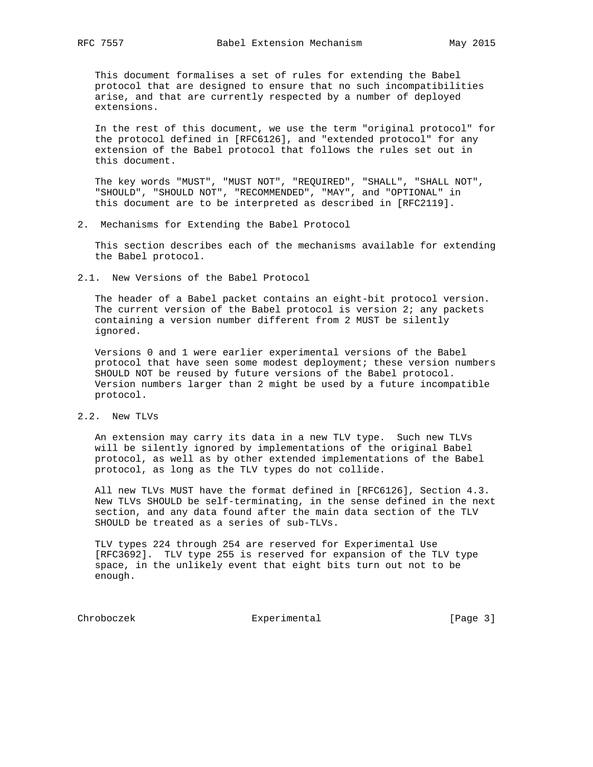This document formalises a set of rules for extending the Babel protocol that are designed to ensure that no such incompatibilities arise, and that are currently respected by a number of deployed extensions.

 In the rest of this document, we use the term "original protocol" for the protocol defined in [RFC6126], and "extended protocol" for any extension of the Babel protocol that follows the rules set out in this document.

 The key words "MUST", "MUST NOT", "REQUIRED", "SHALL", "SHALL NOT", "SHOULD", "SHOULD NOT", "RECOMMENDED", "MAY", and "OPTIONAL" in this document are to be interpreted as described in [RFC2119].

2. Mechanisms for Extending the Babel Protocol

 This section describes each of the mechanisms available for extending the Babel protocol.

2.1. New Versions of the Babel Protocol

 The header of a Babel packet contains an eight-bit protocol version. The current version of the Babel protocol is version 2; any packets containing a version number different from 2 MUST be silently ignored.

 Versions 0 and 1 were earlier experimental versions of the Babel protocol that have seen some modest deployment; these version numbers SHOULD NOT be reused by future versions of the Babel protocol. Version numbers larger than 2 might be used by a future incompatible protocol.

2.2. New TLVs

 An extension may carry its data in a new TLV type. Such new TLVs will be silently ignored by implementations of the original Babel protocol, as well as by other extended implementations of the Babel protocol, as long as the TLV types do not collide.

 All new TLVs MUST have the format defined in [RFC6126], Section 4.3. New TLVs SHOULD be self-terminating, in the sense defined in the next section, and any data found after the main data section of the TLV SHOULD be treated as a series of sub-TLVs.

 TLV types 224 through 254 are reserved for Experimental Use [RFC3692]. TLV type 255 is reserved for expansion of the TLV type space, in the unlikely event that eight bits turn out not to be enough.

Chroboczek Experimental [Page 3]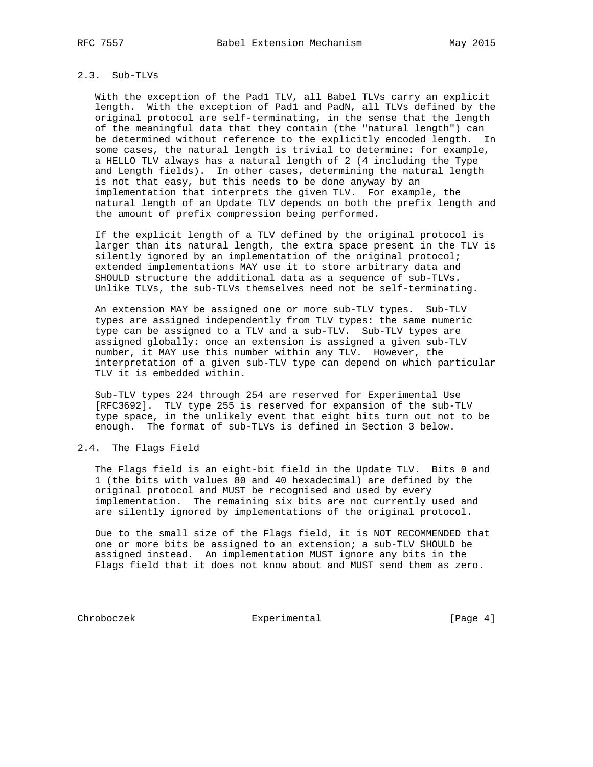## 2.3. Sub-TLVs

 With the exception of the Pad1 TLV, all Babel TLVs carry an explicit length. With the exception of Pad1 and PadN, all TLVs defined by the original protocol are self-terminating, in the sense that the length of the meaningful data that they contain (the "natural length") can be determined without reference to the explicitly encoded length. In some cases, the natural length is trivial to determine: for example, a HELLO TLV always has a natural length of 2 (4 including the Type and Length fields). In other cases, determining the natural length is not that easy, but this needs to be done anyway by an implementation that interprets the given TLV. For example, the natural length of an Update TLV depends on both the prefix length and the amount of prefix compression being performed.

 If the explicit length of a TLV defined by the original protocol is larger than its natural length, the extra space present in the TLV is silently ignored by an implementation of the original protocol; extended implementations MAY use it to store arbitrary data and SHOULD structure the additional data as a sequence of sub-TLVs. Unlike TLVs, the sub-TLVs themselves need not be self-terminating.

 An extension MAY be assigned one or more sub-TLV types. Sub-TLV types are assigned independently from TLV types: the same numeric type can be assigned to a TLV and a sub-TLV. Sub-TLV types are assigned globally: once an extension is assigned a given sub-TLV number, it MAY use this number within any TLV. However, the interpretation of a given sub-TLV type can depend on which particular TLV it is embedded within.

 Sub-TLV types 224 through 254 are reserved for Experimental Use [RFC3692]. TLV type 255 is reserved for expansion of the sub-TLV type space, in the unlikely event that eight bits turn out not to be enough. The format of sub-TLVs is defined in Section 3 below.

### 2.4. The Flags Field

 The Flags field is an eight-bit field in the Update TLV. Bits 0 and 1 (the bits with values 80 and 40 hexadecimal) are defined by the original protocol and MUST be recognised and used by every implementation. The remaining six bits are not currently used and are silently ignored by implementations of the original protocol.

 Due to the small size of the Flags field, it is NOT RECOMMENDED that one or more bits be assigned to an extension; a sub-TLV SHOULD be assigned instead. An implementation MUST ignore any bits in the Flags field that it does not know about and MUST send them as zero.

Chroboczek Experimental Experimental [Page 4]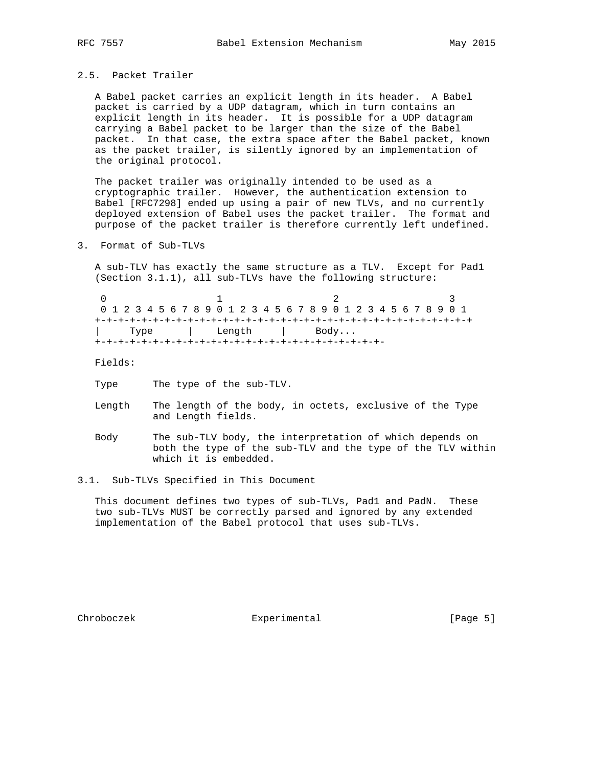## 2.5. Packet Trailer

 A Babel packet carries an explicit length in its header. A Babel packet is carried by a UDP datagram, which in turn contains an explicit length in its header. It is possible for a UDP datagram carrying a Babel packet to be larger than the size of the Babel packet. In that case, the extra space after the Babel packet, known as the packet trailer, is silently ignored by an implementation of the original protocol.

 The packet trailer was originally intended to be used as a cryptographic trailer. However, the authentication extension to Babel [RFC7298] ended up using a pair of new TLVs, and no currently deployed extension of Babel uses the packet trailer. The format and purpose of the packet trailer is therefore currently left undefined.

3. Format of Sub-TLVs

 A sub-TLV has exactly the same structure as a TLV. Except for Pad1 (Section 3.1.1), all sub-TLVs have the following structure:

0  $1$  2 3 0 1 2 3 4 5 6 7 8 9 0 1 2 3 4 5 6 7 8 9 0 1 2 3 4 5 6 7 8 9 0 1 +-+-+-+-+-+-+-+-+-+-+-+-+-+-+-+-+-+-+-+-+-+-+-+-+-+-+-+-+-+-+-+-+ | Type | Length | Body... +-+-+-+-+-+-+-+-+-+-+-+-+-+-+-+-+-+-+-+-+-+-+-+-+-

Fields:

- Type The type of the sub-TLV.
- Length The length of the body, in octets, exclusive of the Type and Length fields.
- Body The sub-TLV body, the interpretation of which depends on both the type of the sub-TLV and the type of the TLV within which it is embedded.
- 3.1. Sub-TLVs Specified in This Document

 This document defines two types of sub-TLVs, Pad1 and PadN. These two sub-TLVs MUST be correctly parsed and ignored by any extended implementation of the Babel protocol that uses sub-TLVs.

Chroboczek **Experimental** [Page 5]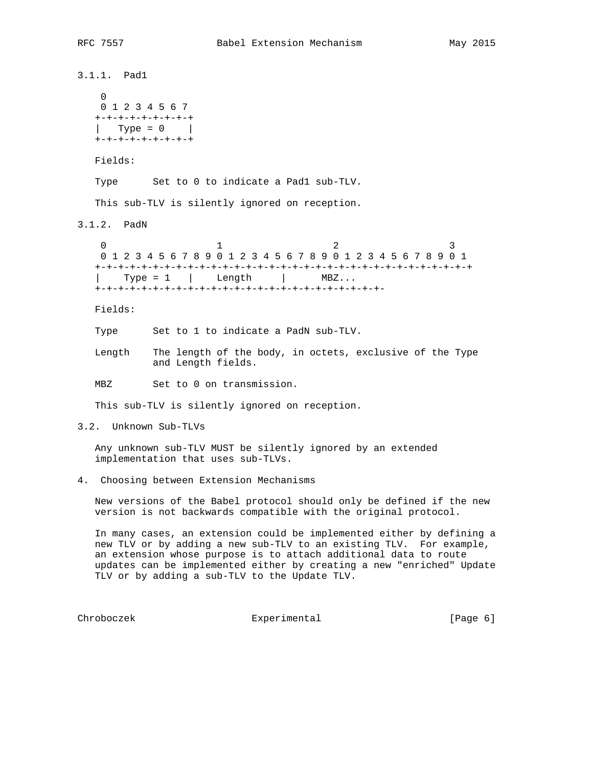3.1.1. Pad1  $\overline{0}$  0 1 2 3 4 5 6 7 +-+-+-+-+-+-+-+-+ | Type =  $0$  | +-+-+-+-+-+-+-+-+ Fields: Type Set to 0 to indicate a Pad1 sub-TLV. This sub-TLV is silently ignored on reception. 3.1.2. PadN 0  $1$  2 3 0 1 2 3 4 5 6 7 8 9 0 1 2 3 4 5 6 7 8 9 0 1 2 3 4 5 6 7 8 9 0 1 +-+-+-+-+-+-+-+-+-+-+-+-+-+-+-+-+-+-+-+-+-+-+-+-+-+-+-+-+-+-+-+-+ | Type = 1 | Length | MBZ... +-+-+-+-+-+-+-+-+-+-+-+-+-+-+-+-+-+-+-+-+-+-+-+-+- Fields: Type Set to 1 to indicate a PadN sub-TLV. Length The length of the body, in octets, exclusive of the Type and Length fields. MBZ Set to 0 on transmission. This sub-TLV is silently ignored on reception. 3.2. Unknown Sub-TLVs Any unknown sub-TLV MUST be silently ignored by an extended implementation that uses sub-TLVs. 4. Choosing between Extension Mechanisms New versions of the Babel protocol should only be defined if the new version is not backwards compatible with the original protocol. In many cases, an extension could be implemented either by defining a new TLV or by adding a new sub-TLV to an existing TLV. For example,

 an extension whose purpose is to attach additional data to route updates can be implemented either by creating a new "enriched" Update TLV or by adding a sub-TLV to the Update TLV.

Chroboczek Experimental [Page 6]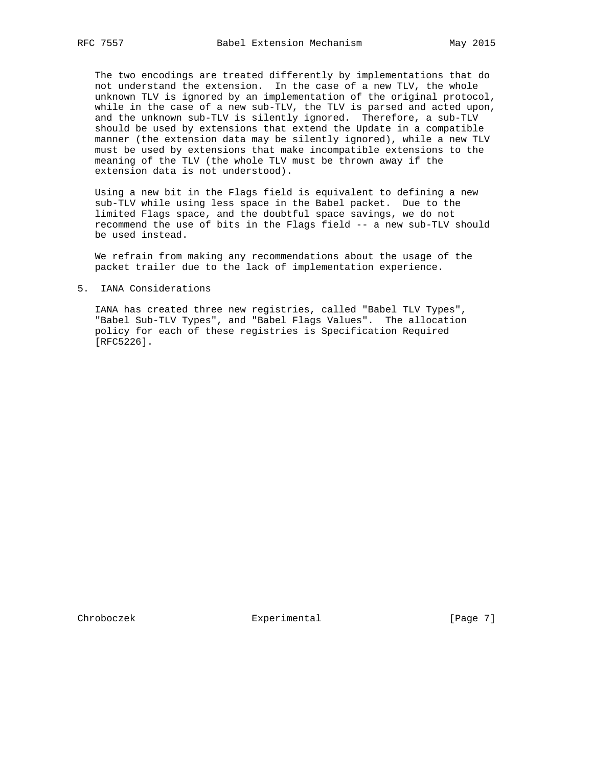The two encodings are treated differently by implementations that do not understand the extension. In the case of a new TLV, the whole unknown TLV is ignored by an implementation of the original protocol, while in the case of a new sub-TLV, the TLV is parsed and acted upon, and the unknown sub-TLV is silently ignored. Therefore, a sub-TLV should be used by extensions that extend the Update in a compatible manner (the extension data may be silently ignored), while a new TLV must be used by extensions that make incompatible extensions to the meaning of the TLV (the whole TLV must be thrown away if the extension data is not understood).

 Using a new bit in the Flags field is equivalent to defining a new sub-TLV while using less space in the Babel packet. Due to the limited Flags space, and the doubtful space savings, we do not recommend the use of bits in the Flags field -- a new sub-TLV should be used instead.

 We refrain from making any recommendations about the usage of the packet trailer due to the lack of implementation experience.

### 5. IANA Considerations

 IANA has created three new registries, called "Babel TLV Types", "Babel Sub-TLV Types", and "Babel Flags Values". The allocation policy for each of these registries is Specification Required [RFC5226].

Chroboczek **Experimental** [Page 7]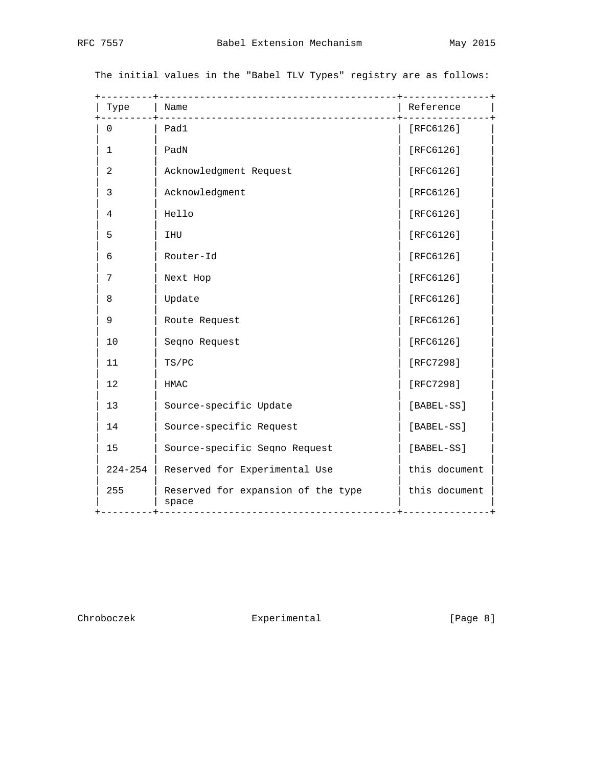| Type           | _______________<br>Name                     | Reference                      |
|----------------|---------------------------------------------|--------------------------------|
| $\Omega$       | Pad1                                        | [ $RFC6126$ ]                  |
| 1              | PadN                                        | [RFC6126]                      |
| $\overline{a}$ | Acknowledgment Request                      | [RFC6126]                      |
| 3              | Acknowledgment                              | [ $RFC6126$ ]                  |
| 4              | Hello                                       | [RFC6126]                      |
| 5              | IHU                                         | [RFC6126]                      |
| 6              | Router-Id                                   | [ $RFC6126$ ]                  |
| 7              | Next Hop                                    | [ $RFC6126$ ]                  |
| 8              | Update                                      | [ $RFC6126$ ]                  |
| 9              | Route Request                               | [ $RFC6126$ ]                  |
| 10             | Seqno Request                               | [ $RFC6126$ ]                  |
| 11             | TS/PC                                       | [RFC7298]                      |
| 12             | <b>HMAC</b>                                 | [RFC7298]                      |
| 13             | Source-specific Update                      | [BABEL-SS]                     |
| 14             | Source-specific Request                     | [BABEL-SS]                     |
| 15             | Source-specific Seqno Request               | [BABEL-SS]                     |
| $224 - 254$    | Reserved for Experimental Use               | this document                  |
| 255            | Reserved for expansion of the type<br>space | this document<br>_____________ |

The initial values in the "Babel TLV Types" registry are as follows:

Chroboczek Experimental [Page 8]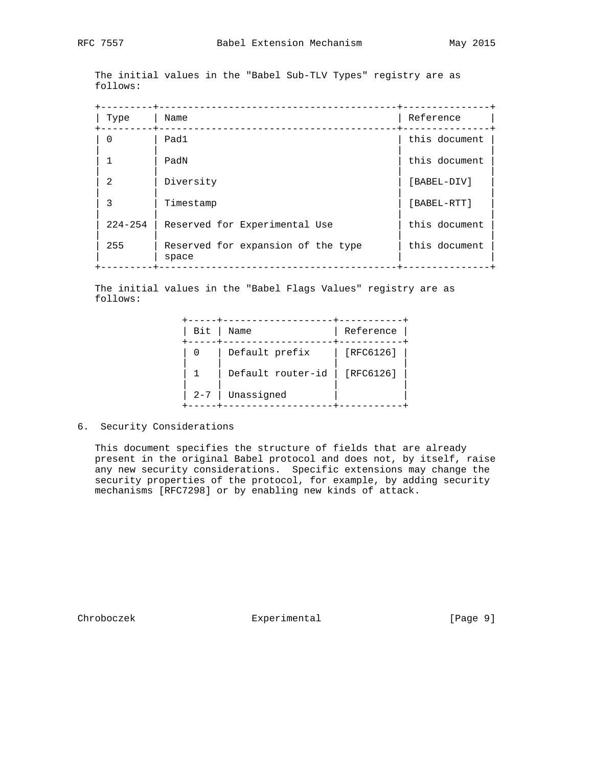The initial values in the "Babel Sub-TLV Types" registry are as follows:

| Type           | Name                                        | Reference     |
|----------------|---------------------------------------------|---------------|
| 0              | Pad1                                        | this document |
| 1              | PadN                                        | this document |
| $\overline{2}$ | Diversity                                   | [BABEL-DIV]   |
| 3              | Timestamp                                   | [BABEL-RTT]   |
| $224 - 254$    | Reserved for Experimental Use               | this document |
| 255            | Reserved for expansion of the type<br>space | this document |

 The initial values in the "Babel Flags Values" registry are as follows:

| Bit     | Name              | Reference |
|---------|-------------------|-----------|
| - 0     | Default prefix    | [RFC6126] |
|         | Default router-id | [RFC6126] |
| $2 - 7$ | Unassigned        |           |

# 6. Security Considerations

 This document specifies the structure of fields that are already present in the original Babel protocol and does not, by itself, raise any new security considerations. Specific extensions may change the security properties of the protocol, for example, by adding security mechanisms [RFC7298] or by enabling new kinds of attack.

Chroboczek Experimental [Page 9]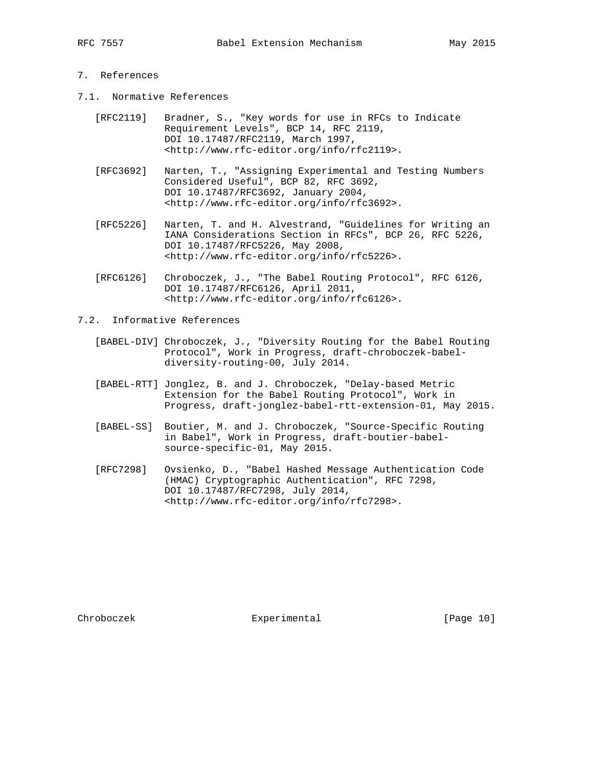- 7.1. Normative References
	- [RFC2119] Bradner, S., "Key words for use in RFCs to Indicate Requirement Levels", BCP 14, RFC 2119, DOI 10.17487/RFC2119, March 1997, <http://www.rfc-editor.org/info/rfc2119>.
	- [RFC3692] Narten, T., "Assigning Experimental and Testing Numbers Considered Useful", BCP 82, RFC 3692, DOI 10.17487/RFC3692, January 2004, <http://www.rfc-editor.org/info/rfc3692>.
	- [RFC5226] Narten, T. and H. Alvestrand, "Guidelines for Writing an IANA Considerations Section in RFCs", BCP 26, RFC 5226, DOI 10.17487/RFC5226, May 2008, <http://www.rfc-editor.org/info/rfc5226>.
	- [RFC6126] Chroboczek, J., "The Babel Routing Protocol", RFC 6126, DOI 10.17487/RFC6126, April 2011, <http://www.rfc-editor.org/info/rfc6126>.

7.2. Informative References

- [BABEL-DIV] Chroboczek, J., "Diversity Routing for the Babel Routing Protocol", Work in Progress, draft-chroboczek-babel diversity-routing-00, July 2014.
	- [BABEL-RTT] Jonglez, B. and J. Chroboczek, "Delay-based Metric Extension for the Babel Routing Protocol", Work in Progress, draft-jonglez-babel-rtt-extension-01, May 2015.
	- [BABEL-SS] Boutier, M. and J. Chroboczek, "Source-Specific Routing in Babel", Work in Progress, draft-boutier-babel source-specific-01, May 2015.
	- [RFC7298] Ovsienko, D., "Babel Hashed Message Authentication Code (HMAC) Cryptographic Authentication", RFC 7298, DOI 10.17487/RFC7298, July 2014, <http://www.rfc-editor.org/info/rfc7298>.

Chroboczek **Experimental** [Page 10]